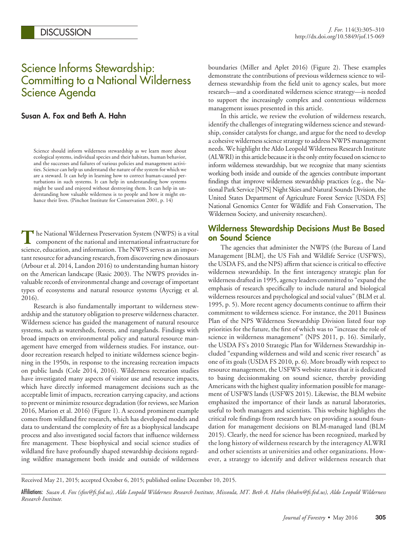# Science Informs Stewardship: Committing to a National Wilderness Science Agenda

## **Susan A. Fox and Beth A. Hahn**

Science should inform wilderness stewardship as we learn more about ecological systems, individual species and their habitats, human behavior, and the successes and failures of various policies and management activities. Science can help us understand the nature of the system for which we are a steward. It can help in learning how to correct human-caused perturbations in such systems. It can help in understanding how systems might be used and enjoyed without destroying them. It can help in understanding how valuable wilderness is to people and how it might enhance their lives. (Pinchot Institute for Conservation 2001, p. 14)

**T**he National Wilderness Preservation System (NWPS) is a vital component of the national and international infrastructure for science, education, and information. The NWPS serves as an important resource for advancing research, from discovering new dinosaurs (Arbour et al. 2014, Landon 2016) to understanding human history on the American landscape (Rasic 2003). The NWPS provides invaluable records of environmental change and coverage of important types of ecosystems and natural resource systems (Aycrigg et al. 2016).

Research is also fundamentally important to wilderness stewardship and the statutory obligation to preserve wilderness character. Wilderness science has guided the management of natural resource systems, such as watersheds, forests, and rangelands. Findings with broad impacts on environmental policy and natural resource management have emerged from wilderness studies. For instance, outdoor recreation research helped to initiate wilderness science beginning in the 1950s, in response to the increasing recreation impacts on public lands (Cole 2014, 2016). Wilderness recreation studies have investigated many aspects of visitor use and resource impacts, which have directly informed management decisions such as the acceptable limit of impacts, recreation carrying capacity, and actions to prevent or minimize resource degradation (for reviews, see Marion 2016, Marion et al. 2016) (Figure 1). A second prominent example comes from wildland fire research, which has developed models and data to understand the complexity of fire as a biophysical landscape process and also investigated social factors that influence wilderness fire management. These biophysical and social science studies of wildland fire have profoundly shaped stewardship decisions regarding wildfire management both inside and outside of wilderness boundaries (Miller and Aplet 2016) (Figure 2). These examples demonstrate the contributions of previous wilderness science to wilderness stewardship from the field unit to agency scales, but more research—and a coordinated wilderness science strategy—is needed to support the increasingly complex and contentious wilderness management issues presented in this article.

In this article, we review the evolution of wilderness research, identify the challenges of integrating wilderness science and stewardship, consider catalysts for change, and argue for the need to develop a cohesive wilderness science strategy to address NWPS management needs. We highlight the Aldo Leopold Wilderness Research Institute (ALWRI) in this article because it is the only entity focused on science to inform wilderness stewardship, but we recognize that many scientists working both inside and outside of the agencies contribute important findings that improve wilderness stewardship practices (e.g., the National Park Service [NPS] Night Skies and Natural Sounds Division, the United States Department of Agriculture Forest Service [USDA FS] National Genomics Center for Wildlife and Fish Conservation, The Wilderness Society, and university researchers).

## **Wilderness Stewardship Decisions Must Be Based on Sound Science**

The agencies that administer the NWPS (the Bureau of Land Management [BLM], the US Fish and Wildlife Service (USFWS), the USDA FS, and the NPS) affirm that science is critical to effective wilderness stewardship. In the first interagency strategic plan for wilderness drafted in 1995, agency leaders committed to "expand the emphasis of research specifically to include natural and biological wilderness resources and psychological and social values" (BLM et al. 1995, p. 5). More recent agency documents continue to affirm their commitment to wilderness science. For instance, the 2011 Business Plan of the NPS Wilderness Stewardship Division listed four top priorities for the future, the first of which was to "increase the role of science in wilderness management" (NPS 2011, p. 16). Similarly, the USDA FS's 2010 Strategic Plan for Wilderness Stewardship included "expanding wilderness and wild and scenic river research" as one of its goals (USDA FS 2010, p. 6). More broadly with respect to resource management, the USFWS website states that it is dedicated to basing decisionmaking on sound science, thereby providing Americans with the highest quality information possible for management of USFWS lands (USFWS 2015). Likewise, the BLM website emphasized the importance of their lands as natural laboratories, useful to both managers and scientists. This website highlights the critical role findings from research have on providing a sound foundation for management decisions on BLM-managed land (BLM 2015). Clearly, the need for science has been recognized, marked by the long history of wilderness research by the interagency ALWRI and other scientists at universities and other organizations. However, a strategy to identify and deliver wilderness research that

Received May 21, 2015; accepted October 6, 2015; published online December 10, 2015.

Affiliations: *Susan A. Fox (sfox@fs.fed.us), Aldo Leopold Wilderness Research Institute, Missoula, MT. Beth A. Hahn (bhahn@fs.fed.us), Aldo Leopold Wilderness Research Institute.*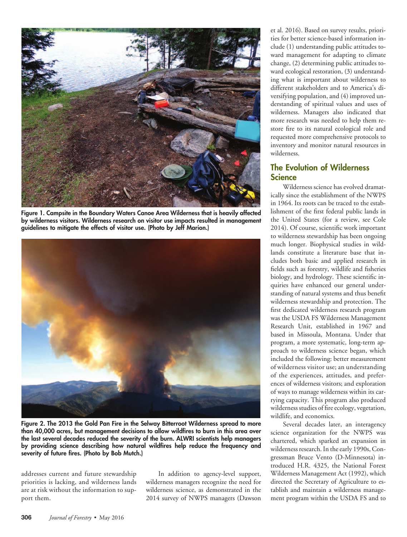

**Figure 1. Campsite in the Boundary Waters Canoe Area Wilderness that is heavily affected by wilderness visitors. Wilderness research on visitor use impacts resulted in management guidelines to mitigate the effects of visitor use. (Photo by Jeff Marion.)**



**Figure 2. The 2013 the Gold Pan Fire in the Selway Bitterroot Wilderness spread to more than 40,000 acres, but management decisions to allow wildfires to burn in this area over the last several decades reduced the severity of the burn. ALWRI scientists help managers by providing science describing how natural wildfires help reduce the frequency and severity of future fires. (Photo by Bob Mutch.)**

addresses current and future stewardship priorities is lacking, and wilderness lands are at risk without the information to support them.

In addition to agency-level support, wilderness managers recognize the need for wilderness science, as demonstrated in the 2014 survey of NWPS managers (Dawson

et al. 2016). Based on survey results, priorities for better science-based information include (1) understanding public attitudes toward management for adapting to climate change, (2) determining public attitudes toward ecological restoration, (3) understanding what is important about wilderness to different stakeholders and to America's diversifying population, and (4) improved understanding of spiritual values and uses of wilderness. Managers also indicated that more research was needed to help them restore fire to its natural ecological role and requested more comprehensive protocols to inventory and monitor natural resources in wilderness.

## **The Evolution of Wilderness Science**

Wilderness science has evolved dramatically since the establishment of the NWPS in 1964. Its roots can be traced to the establishment of the first federal public lands in the United States (for a review, see Cole 2014). Of course, scientific work important to wilderness stewardship has been ongoing much longer. Biophysical studies in wildlands constitute a literature base that includes both basic and applied research in fields such as forestry, wildlife and fisheries biology, and hydrology. These scientific inquiries have enhanced our general understanding of natural systems and thus benefit wilderness stewardship and protection. The first dedicated wilderness research program was the USDA FS Wilderness Management Research Unit, established in 1967 and based in Missoula, Montana. Under that program, a more systematic, long-term approach to wilderness science began, which included the following: better measurement of wilderness visitor use; an understanding of the experiences, attitudes, and preferences of wilderness visitors; and exploration of ways to manage wilderness within its carrying capacity. This program also produced wilderness studies of fire ecology, vegetation, wildlife, and economics.

Several decades later, an interagency science organization for the NWPS was chartered, which sparked an expansion in wilderness research. In the early 1990s, Congressman Bruce Vento (D-Minnesota) introduced H.R. 4325, the National Forest Wilderness Management Act (1992), which directed the Secretary of Agriculture to establish and maintain a wilderness management program within the USDA FS and to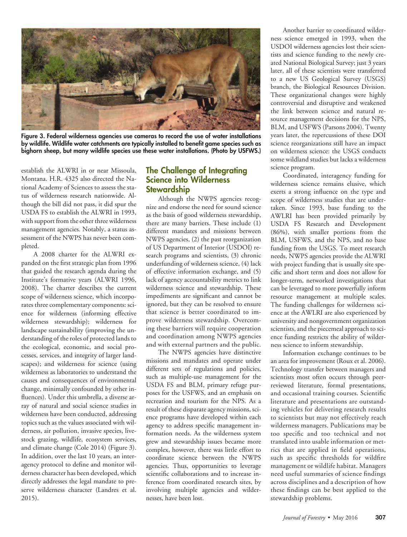

**Figure 3. Federal wilderness agencies use cameras to record the use of water installations by wildlife. Wildlife water catchments are typically installed to benefit game species such as bighorn sheep, but many wildlife species use these water installations. (Photo by USFWS.)**

establish the ALWRI in or near Missoula, Montana. H.R. 4325 also directed the National Academy of Sciences to assess the status of wilderness research nationwide. Although the bill did not pass, it did spur the USDA FS to establish the ALWRI in 1993, with support from the other three wilderness management agencies. Notably, a status assessment of the NWPS has never been completed.

A 2008 charter for the ALWRI expanded on the first strategic plan from 1996 that guided the research agenda during the Institute's formative years (ALWRI 1996, 2008). The charter describes the current scope of wilderness science, which incorporates three complementary components: science for wilderness (informing effective wilderness stewardship); wilderness for landscape sustainability (improving the understanding of the roles of protected lands to the ecological, economic, and social processes, services, and integrity of larger landscapes); and wilderness for science (using wilderness as laboratories to understand the causes and consequences of environmental change, minimally confounded by other influences). Under this umbrella, a diverse array of natural and social science studies in wilderness have been conducted, addressing topics such as the values associated with wilderness, air pollution, invasive species, livestock grazing, wildlife, ecosystem services, and climate change (Cole 2014) (Figure 3). In addition, over the last 10 years, an interagency protocol to define and monitor wilderness character has been developed, which directly addresses the legal mandate to preserve wilderness character (Landres et al. 2015).

## **The Challenge of Integrating Science into Wilderness Stewardship**

Although the NWPS agencies recognize and endorse the need for sound science as the basis of good wilderness stewardship, there are many barriers. These include (1) different mandates and missions between NWPS agencies, (2) the past reorganization of US Department of Interior (USDOI) research programs and scientists, (3) chronic underfunding of wilderness science, (4) lack of effective information exchange, and (5) lack of agency accountability metrics to link wilderness science and stewardship. These impediments are significant and cannot be ignored, but they can be resolved to ensure that science is better coordinated to improve wilderness stewardship. Overcoming these barriers will require cooperation and coordination among NWPS agencies and with external partners and the public.

The NWPS agencies have distinctive missions and mandates and operate under different sets of regulations and policies, such as multiple-use management for the USDA FS and BLM, primary refuge purposes for the USFWS, and an emphasis on recreation and tourism for the NPS. As a result of these disparate agency missions, science programs have developed within each agency to address specific management information needs. As the wilderness system grew and stewardship issues became more complex, however, there was little effort to coordinate science between the NWPS agencies. Thus, opportunities to leverage scientific collaborations and to increase inference from coordinated research sites, by involving multiple agencies and wildernesses, have been lost.

Another barrier to coordinated wilderness science emerged in 1993, when the USDOI wilderness agencies lost their scientists and science funding to the newly created National Biological Survey; just 3 years later, all of these scientists were transferred to a new US Geological Survey (USGS) branch, the Biological Resources Division. These organizational changes were highly controversial and disruptive and weakened the link between science and natural resource management decisions for the NPS, BLM, and USFWS (Parsons 2004). Twenty years later, the repercussions of these DOI science reorganizations still have an impact on wilderness science: the USGS conducts some wildland studies but lacks a wilderness science program.

Coordinated, interagency funding for wilderness science remains elusive, which exerts a strong influence on the type and scope of wilderness studies that are undertaken. Since 1993, base funding to the AWLRI has been provided primarily by USDA FS Research and Development (86%), with smaller portions from the BLM, USFWS, and the NPS, and no base funding from the USGS. To meet research needs, NWPS agencies provide the ALWRI with project funding that is usually site specific and short term and does not allow for longer-term, networked investigations that can be leveraged to more powerfully inform resource management at multiple scales. The funding challenges for wilderness science at the AWLRI are also experienced by university and nongovernment organization scientists, and the piecemeal approach to science funding restricts the ability of wilderness science to inform stewardship.

Information exchange continues to be an area for improvement (Roux et al. 2006). Technology transfer between managers and scientists most often occurs through peerreviewed literature, formal presentations, and occasional training courses. Scientific literature and presentations are outstanding vehicles for delivering research results to scientists but may not effectively reach wilderness managers. Publications may be too specific and too technical and not translated into usable information or metrics that are applied in field operations, such as specific thresholds for wildfire management or wildlife habitat. Managers need useful summaries of science findings across disciplines and a description of how these findings can be best applied to the stewardship problems.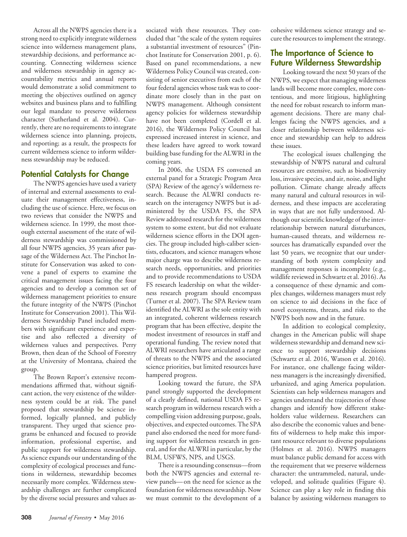Across all the NWPS agencies there is a strong need to explicitly integrate wilderness science into wilderness management plans, stewardship decisions, and performance accounting. Connecting wilderness science and wilderness stewardship in agency accountability metrics and annual reports would demonstrate a solid commitment to meeting the objectives outlined on agency websites and business plans and to fulfilling our legal mandate to preserve wilderness character (Sutherland et al. 2004). Currently, there are no requirements to integrate wilderness science into planning, projects, and reporting; as a result, the prospects for current wilderness science to inform wilderness stewardship may be reduced.

### **Potential Catalysts for Change**

The NWPS agencies have used a variety of internal and external assessments to evaluate their management effectiveness, including the use of science. Here, we focus on two reviews that consider the NWPS and wilderness science. In 1999, the most thorough external assessment of the state of wilderness stewardship was commissioned by all four NWPS agencies, 35 years after passage of the Wilderness Act. The Pinchot Institute for Conservation was asked to convene a panel of experts to examine the critical management issues facing the four agencies and to develop a common set of wilderness management priorities to ensure the future integrity of the NWPS (Pinchot Institute for Conservation 2001). This Wilderness Stewardship Panel included members with significant experience and expertise and also reflected a diversity of wilderness values and perspectives. Perry Brown, then dean of the School of Forestry at the University of Montana, chaired the group.

The Brown Report's extensive recommendations affirmed that, without significant action, the very existence of the wilderness system could be at risk. The panel proposed that stewardship be science informed, logically planned, and publicly transparent. They urged that science programs be enhanced and focused to provide information, professional expertise, and public support for wilderness stewardship. As science expands our understanding of the complexity of ecological processes and functions in wilderness, stewardship becomes necessarily more complex. Wilderness stewardship challenges are further complicated by the diverse social pressures and values as-

sociated with these resources. They concluded that "the scale of the system requires a substantial investment of resources" (Pinchot Institute for Conservation 2001, p. 6). Based on panel recommendations, a new Wilderness Policy Council was created, consisting of senior executives from each of the four federal agencies whose task was to coordinate more closely than in the past on NWPS management. Although consistent agency policies for wilderness stewardship have not been completed (Cordell et al. 2016), the Wilderness Policy Council has expressed increased interest in science, and these leaders have agreed to work toward building base funding for the ALWRI in the coming years.

In 2006, the USDA FS convened an external panel for a Strategic Program Area (SPA) Review of the agency's wilderness research. Because the ALWRI conducts research on the interagency NWPS but is administered by the USDA FS, the SPA Review addressed research for the wilderness system to some extent, but did not evaluate wilderness science efforts in the DOI agencies. The group included high-caliber scientists, educators, and science managers whose major charge was to describe wilderness research needs, opportunities, and priorities and to provide recommendations to USDA FS research leadership on what the wilderness research program should encompass (Turner et al. 2007). The SPA Review team identified the ALWRI as the sole entity with an integrated, coherent wilderness research program that has been effective, despite the modest investment of resources in staff and operational funding. The review noted that ALWRI researchers have articulated a range of threats to the NWPS and the associated science priorities, but limited resources have hampered progress.

Looking toward the future, the SPA panel strongly supported the development of a clearly defined, national USDA FS research program in wilderness research with a compelling vision addressing purpose, goals, objectives, and expected outcomes. The SPA panel also endorsed the need for more funding support for wilderness research in general, and for the ALWRI in particular, by the BLM, USFWS, NPS, and USGS.

There is a resounding consensus—from both the NWPS agencies and external review panels—on the need for science as the foundation for wilderness stewardship. Now we must commit to the development of a

cohesive wilderness science strategy and secure the resources to implement the strategy.

#### **The Importance of Science to Future Wilderness Stewardship**

Looking toward the next 50 years of the NWPS, we expect that managing wilderness lands will become more complex, more contentious, and more litigious, highlighting the need for robust research to inform management decisions. There are many challenges facing the NWPS agencies, and a closer relationship between wilderness science and stewardship can help to address these issues.

The ecological issues challenging the stewardship of NWPS natural and cultural resources are extensive, such as biodiversity loss, invasive species, and air, noise, and light pollution. Climate change already affects many natural and cultural resources in wilderness, and these impacts are accelerating in ways that are not fully understood. Although our scientific knowledge of the interrelationship between natural disturbances, human-caused threats, and wilderness resources has dramatically expanded over the last 50 years, we recognize that our understanding of both system complexity and management responses is incomplete (e.g., wildlife reviewed in Schwartz et al. 2016). As a consequence of these dynamic and complex changes, wilderness managers must rely on science to aid decisions in the face of novel ecosystems, threats, and risks to the NWPS both now and in the future.

In addition to ecological complexity, changes in the American public will shape wilderness stewardship and demand new science to support stewardship decisions (Schwartz et al. 2016, Watson et al. 2016). For instance, one challenge facing wilderness managers is the increasingly diversified, urbanized, and aging America population. Scientists can help wilderness managers and agencies understand the trajectories of those changes and identify how different stakeholders value wilderness. Researchers can also describe the economic values and benefits of wilderness to help make this important resource relevant to diverse populations (Holmes et al. 2016). NWPS managers must balance public demand for access with the requirement that we preserve wilderness character: the untrammeled, natural, undeveloped, and solitude qualities (Figure 4). Science can play a key role in finding this balance by assisting wilderness managers to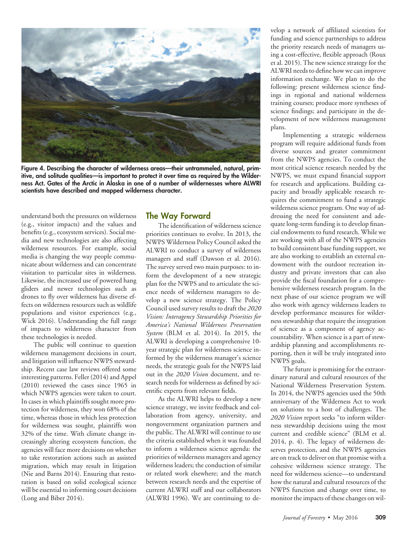

**Figure 4. Describing the character of wilderness areas—their untrammeled, natural, primitive, and solitude qualities—is important to protect it over time as required by the Wilderness Act. Gates of the Arctic in Alaska in one of a number of wildernesses where ALWRI scientists have described and mapped wilderness character.**

understand both the pressures on wilderness (e.g., visitor impacts) and the values and benefits (e.g., ecosystem services). Social media and new technologies are also affecting wilderness resources. For example, social media is changing the way people communicate about wilderness and can concentrate visitation to particular sites in wilderness. Likewise, the increased use of powered hang gliders and newer technologies such as drones to fly over wilderness has diverse effects on wilderness resources such as wildlife populations and visitor experiences (e.g., Wick 2016). Understanding the full range of impacts to wilderness character from these technologies is needed.

The public will continue to question wilderness management decisions in court, and litigation will influence NWPS stewardship. Recent case law reviews offered some interesting patterns. Feller (2014) and Appel (2010) reviewed the cases since 1965 in which NWPS agencies were taken to court. In cases in which plaintiffs sought more protection for wilderness, they won 68% of the time, whereas those in which less protection for wilderness was sought, plaintiffs won 32% of the time. With climate change increasingly altering ecosystem function, the agencies will face more decisions on whether to take restoration actions such as assisted migration, which may result in litigation (Nie and Barns 2014). Ensuring that restoration is based on solid ecological science will be essential to informing court decisions (Long and Biber 2014).

#### **The Way Forward**

The identification of wilderness science priorities continues to evolve. In 2013, the NWPS Wilderness Policy Council asked the ALWRI to conduct a survey of wilderness managers and staff (Dawson et al. 2016). The survey served two main purposes: to inform the development of a new strategic plan for the NWPS and to articulate the science needs of wilderness managers to develop a new science strategy. The Policy Council used survey results to draft the *2020 Vision: Interagency Stewardship Priorities for America's National Wilderness Preservation System* (BLM et al. 2014). In 2015, the ALWRI is developing a comprehensive 10 year strategic plan for wilderness science informed by the wilderness manager's science needs, the strategic goals for the NWPS laid out in the *2020 Vision* document, and research needs for wilderness as defined by scientific experts from relevant fields.

As the ALWRI helps to develop a new science strategy, we invite feedback and collaboration from agency, university, and nongovernment organization partners and the public. The ALWRI will continue to use the criteria established when it was founded to inform a wilderness science agenda: the priorities of wilderness managers and agency wilderness leaders; the conduction of similar or related work elsewhere; and the match between research needs and the expertise of current ALWRI staff and our collaborators (ALWRI 1996). We are continuing to de-

velop a network of affiliated scientists for funding and science partnerships to address the priority research needs of managers using a cost-effective, flexible approach (Roux et al. 2015). The new science strategy for the ALWRI needs to define how we can improve information exchange. We plan to do the following: present wilderness science findings in regional and national wilderness training courses; produce more syntheses of science findings; and participate in the development of new wilderness management plans.

Implementing a strategic wilderness program will require additional funds from diverse sources and greater commitment from the NWPS agencies. To conduct the most critical science research needed by the NWPS, we must expand financial support for research and applications. Building capacity and broadly applicable research requires the commitment to fund a strategic wilderness science program. One way of addressing the need for consistent and adequate long-term funding is to develop financial endowments to fund research. While we are working with all of the NWPS agencies to build consistent base funding support, we are also working to establish an external endowment with the outdoor recreation industry and private investors that can also provide the fiscal foundation for a comprehensive wilderness research program. In the next phase of our science program we will also work with agency wilderness leaders to develop performance measures for wilderness stewardship that require the integration of science as a component of agency accountability. When science is a part of stewardship planning and accomplishments reporting, then it will be truly integrated into NWPS goals.

The future is promising for the extraordinary natural and cultural resources of the National Wilderness Preservation System. In 2014, the NWPS agencies used the 50th anniversary of the Wilderness Act to work on solutions to a host of challenges. The *2020 Vision* report seeks "to inform wilderness stewardship decisions using the most current and credible science" (BLM et al. 2014, p. 4). The legacy of wilderness deserves protection, and the NWPS agencies are on track to deliver on that promise with a cohesive wilderness science strategy. The need for wilderness science—to understand how the natural and cultural resources of the NWPS function and change over time, to monitor the impacts of these changes on wil